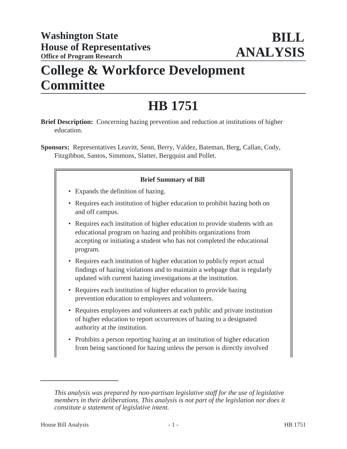# **College & Workforce Development Committee**

# **HB 1751**

- **Brief Description:** Concerning hazing prevention and reduction at institutions of higher education.
- **Sponsors:** Representatives Leavitt, Senn, Berry, Valdez, Bateman, Berg, Callan, Cody, Fitzgibbon, Santos, Simmons, Slatter, Bergquist and Pollet.

## **Brief Summary of Bill**

- Expands the definition of hazing.
- Requires each institution of higher education to prohibit hazing both on and off campus.
- Requires each institution of higher education to provide students with an educational program on hazing and prohibits organizations from accepting or initiating a student who has not completed the educational program.
- Requires each institution of higher education to publicly report actual findings of hazing violations and to maintain a webpage that is regularly updated with current hazing investigations at the institution.
- Requires each institution of higher education to provide hazing prevention education to employees and volunteers.
- Requires employees and volunteers at each public and private institution of higher education to report occurrences of hazing to a designated authority at the institution.
- Prohibits a person reporting hazing at an institution of higher education from being sanctioned for hazing unless the person is directly involved

*This analysis was prepared by non-partisan legislative staff for the use of legislative members in their deliberations. This analysis is not part of the legislation nor does it constitute a statement of legislative intent.*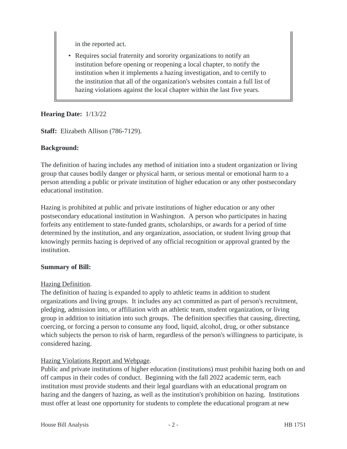in the reported act.

• Requires social fraternity and sorority organizations to notify an institution before opening or reopening a local chapter, to notify the institution when it implements a hazing investigation, and to certify to the institution that all of the organization's websites contain a full list of hazing violations against the local chapter within the last five years.

## **Hearing Date:** 1/13/22

**Staff:** Elizabeth Allison (786-7129).

## **Background:**

The definition of hazing includes any method of initiation into a student organization or living group that causes bodily danger or physical harm, or serious mental or emotional harm to a person attending a public or private institution of higher education or any other postsecondary educational institution.

Hazing is prohibited at public and private institutions of higher education or any other postsecondary educational institution in Washington. A person who participates in hazing forfeits any entitlement to state-funded grants, scholarships, or awards for a period of time determined by the institution, and any organization, association, or student living group that knowingly permits hazing is deprived of any official recognition or approval granted by the institution.

#### **Summary of Bill:**

#### Hazing Definition.

The definition of hazing is expanded to apply to athletic teams in addition to student organizations and living groups. It includes any act committed as part of person's recruitment, pledging, admission into, or affiliation with an athletic team, student organization, or living group in addition to initiation into such groups. The definition specifies that causing, directing, coercing, or forcing a person to consume any food, liquid, alcohol, drug, or other substance which subjects the person to risk of harm, regardless of the person's willingness to participate, is considered hazing.

## Hazing Violations Report and Webpage.

Public and private institutions of higher education (institutions) must prohibit hazing both on and off campus in their codes of conduct. Beginning with the fall 2022 academic term, each institution must provide students and their legal guardians with an educational program on hazing and the dangers of hazing, as well as the institution's prohibition on hazing. Institutions must offer at least one opportunity for students to complete the educational program at new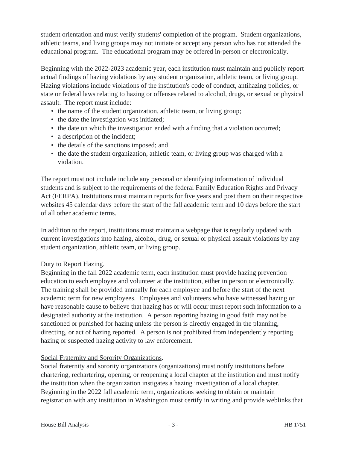student orientation and must verify students' completion of the program. Student organizations, athletic teams, and living groups may not initiate or accept any person who has not attended the educational program. The educational program may be offered in-person or electronically.

Beginning with the 2022-2023 academic year, each institution must maintain and publicly report actual findings of hazing violations by any student organization, athletic team, or living group. Hazing violations include violations of the institution's code of conduct, antihazing policies, or state or federal laws relating to hazing or offenses related to alcohol, drugs, or sexual or physical assault. The report must include:

- the name of the student organization, athletic team, or living group;
- the date the investigation was initiated;
- the date on which the investigation ended with a finding that a violation occurred;
- a description of the incident;
- the details of the sanctions imposed; and
- the date the student organization, athletic team, or living group was charged with a violation.

The report must not include include any personal or identifying information of individual students and is subject to the requirements of the federal Family Education Rights and Privacy Act (FERPA). Institutions must maintain reports for five years and post them on their respective websites 45 calendar days before the start of the fall academic term and 10 days before the start of all other academic terms.

In addition to the report, institutions must maintain a webpage that is regularly updated with current investigations into hazing, alcohol, drug, or sexual or physical assault violations by any student organization, athletic team, or living group.

#### Duty to Report Hazing.

Beginning in the fall 2022 academic term, each institution must provide hazing prevention education to each employee and volunteer at the institution, either in person or electronically. The training shall be provided annually for each employee and before the start of the next academic term for new employees. Employees and volunteers who have witnessed hazing or have reasonable cause to believe that hazing has or will occur must report such information to a designated authority at the institution. A person reporting hazing in good faith may not be sanctioned or punished for hazing unless the person is directly engaged in the planning, directing, or act of hazing reported. A person is not prohibited from independently reporting hazing or suspected hazing activity to law enforcement.

#### Social Fraternity and Sorority Organizations.

Social fraternity and sorority organizations (organizations) must notify institutions before chartering, rechartering, opening, or reopening a local chapter at the institution and must notify the institution when the organization instigates a hazing investigation of a local chapter. Beginning in the 2022 fall academic term, organizations seeking to obtain or maintain registration with any institution in Washington must certify in writing and provide weblinks that